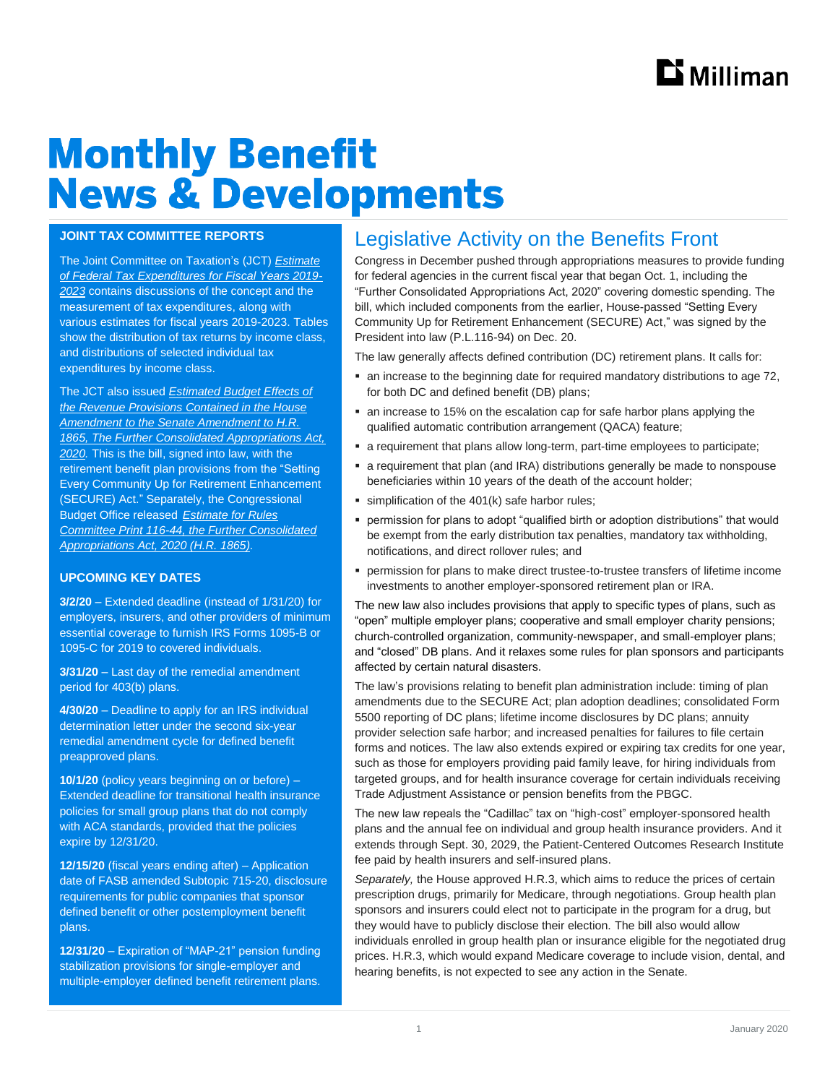# **Monthly Benefit News & Developments**

#### **JOINT TAX COMMITTEE REPORTS**

The Joint Committee on Taxation's (JCT) *[Estimate](https://www.jct.gov/publications.html?func=startdown&id=5238)  [of Federal Tax Expenditures for Fiscal Years 2019-](https://www.jct.gov/publications.html?func=startdown&id=5238) [2023](https://www.jct.gov/publications.html?func=startdown&id=5238)* contains discussions of the concept and the measurement of tax expenditures, along with various estimates for fiscal years 2019-2023. Tables show the distribution of tax returns by income class, and distributions of selected individual tax expenditures by income class.

The JCT also issued *[Estimated Budget Effects of](https://www.jct.gov/publications.html?func=startdown&id=5237)  [the Revenue Provisions Contained in the House](https://www.jct.gov/publications.html?func=startdown&id=5237)  [Amendment to the Senate Amendment to H.R.](https://www.jct.gov/publications.html?func=startdown&id=5237)  [1865, The Further Consolidated Appropriations Act,](https://www.jct.gov/publications.html?func=startdown&id=5237)  [2020.](https://www.jct.gov/publications.html?func=startdown&id=5237)* This is the bill, signed into law, with the retirement benefit plan provisions from the "Setting Every Community Up for Retirement Enhancement (SECURE) Act." Separately, the Congressional Budget Office released *[Estimate for Rules](https://www.cbo.gov/publication/55961)  [Committee Print 116-44, the Further Consolidated](https://www.cbo.gov/publication/55961)  [Appropriations Act, 2020 \(H.R. 1865\)](https://www.cbo.gov/publication/55961).*

#### **UPCOMING KEY DATES**

**3/2/20** – Extended deadline (instead of 1/31/20) for employers, insurers, and other providers of minimum essential coverage to furnish IRS Forms 1095-B or 1095-C for 2019 to covered individuals.

**3/31/20** – Last day of the remedial amendment period for 403(b) plans.

**4/30/20** – Deadline to apply for an IRS individual determination letter under the second six-year remedial amendment cycle for defined benefit preapproved plans.

**10/1/20** (policy years beginning on or before) – Extended deadline for transitional health insurance policies for small group plans that do not comply with ACA standards, provided that the policies expire by 12/31/20.

**12/15/20** (fiscal years ending after) – Application date of FASB amended Subtopic 715-20, disclosure requirements for public companies that sponsor defined benefit or other postemployment benefit plans.

**12/31/20** – Expiration of "MAP-21" pension funding stabilization provisions for single-employer and multiple-employer defined benefit retirement plans.

## Legislative Activity on the Benefits Front

Congress in December pushed through appropriations measures to provide funding for federal agencies in the current fiscal year that began Oct. 1, including the "Further Consolidated Appropriations Act, 2020" covering domestic spending. The bill, which included components from the earlier, House-passed "Setting Every Community Up for Retirement Enhancement (SECURE) Act," was signed by the President into law (P.L.116-94) on Dec. 20.

The law generally affects defined contribution (DC) retirement plans. It calls for:

- an increase to the beginning date for required mandatory distributions to age 72, for both DC and defined benefit (DB) plans;
- an increase to 15% on the escalation cap for safe harbor plans applying the qualified automatic contribution arrangement (QACA) feature;
- a requirement that plans allow long-term, part-time employees to participate;
- a requirement that plan (and IRA) distributions generally be made to nonspouse beneficiaries within 10 years of the death of the account holder;
- $\blacksquare$  simplification of the 401(k) safe harbor rules;
- permission for plans to adopt "qualified birth or adoption distributions" that would be exempt from the early distribution tax penalties, mandatory tax withholding, notifications, and direct rollover rules; and
- permission for plans to make direct trustee-to-trustee transfers of lifetime income investments to another employer-sponsored retirement plan or IRA.

The new law also includes provisions that apply to specific types of plans, such as "open" multiple employer plans; cooperative and small employer charity pensions; church-controlled organization, community-newspaper, and small-employer plans; and "closed" DB plans. And it relaxes some rules for plan sponsors and participants affected by certain natural disasters.

The law's provisions relating to benefit plan administration include: timing of plan amendments due to the SECURE Act; plan adoption deadlines; consolidated Form 5500 reporting of DC plans; lifetime income disclosures by DC plans; annuity provider selection safe harbor; and increased penalties for failures to file certain forms and notices. The law also extends expired or expiring tax credits for one year, such as those for employers providing paid family leave, for hiring individuals from targeted groups, and for health insurance coverage for certain individuals receiving Trade Adjustment Assistance or pension benefits from the PBGC.

The new law repeals the "Cadillac" tax on "high-cost" employer-sponsored health plans and the annual fee on individual and group health insurance providers. And it extends through Sept. 30, 2029, the Patient-Centered Outcomes Research Institute fee paid by health insurers and self-insured plans.

*Separately,* the House approved H.R.3, which aims to reduce the prices of certain prescription drugs, primarily for Medicare, through negotiations. Group health plan sponsors and insurers could elect not to participate in the program for a drug, but they would have to publicly disclose their election. The bill also would allow individuals enrolled in group health plan or insurance eligible for the negotiated drug prices. H.R.3, which would expand Medicare coverage to include vision, dental, and hearing benefits, is not expected to see any action in the Senate.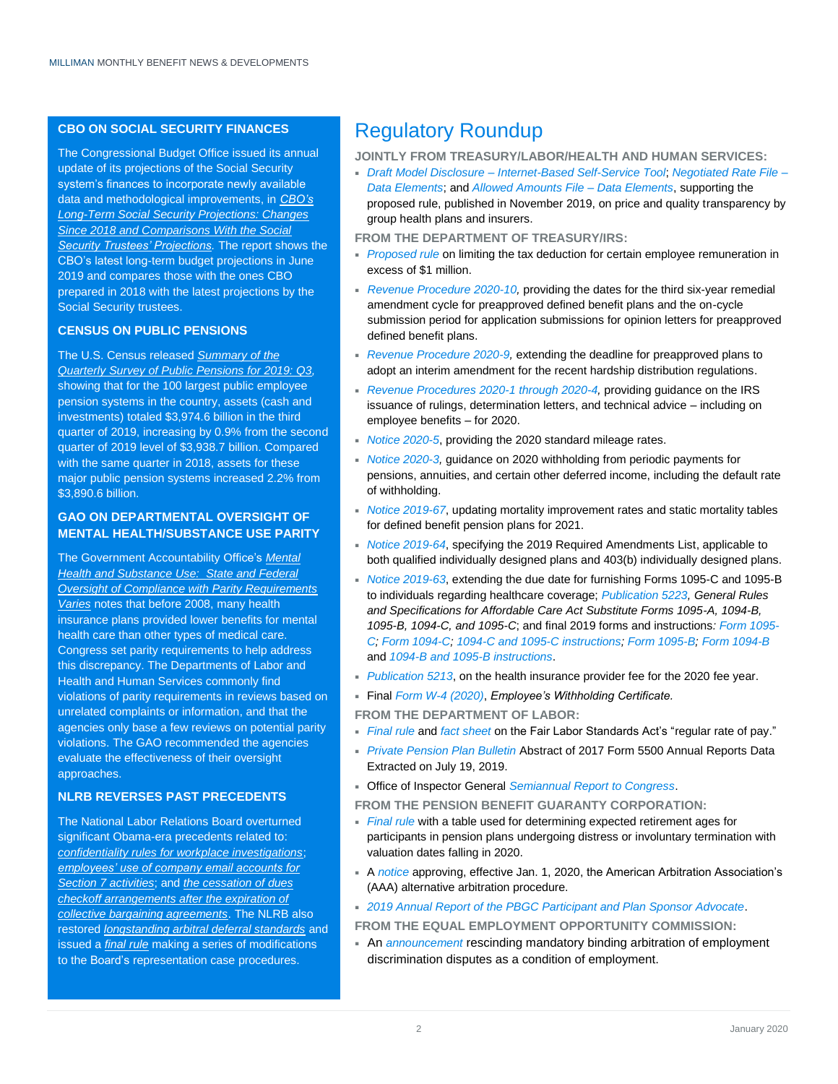### **CBO ON SOCIAL SECURITY FINANCES**

The Congressional Budget Office issued its annual update of its projections of the Social Security system's finances to incorporate newly available data and methodological improvements, in *[CBO's](https://www.cbo.gov/system/files/2019-12/55914-CBO-Social-Security-Comparison.pdf)  [Long-Term Social Security Projections: Changes](https://www.cbo.gov/system/files/2019-12/55914-CBO-Social-Security-Comparison.pdf)  [Since 2018 and Comparisons With the Social](https://www.cbo.gov/system/files/2019-12/55914-CBO-Social-Security-Comparison.pdf)  [Security Trustees' Projections.](https://www.cbo.gov/system/files/2019-12/55914-CBO-Social-Security-Comparison.pdf)* The report shows the CBO's latest long-term budget projections in June 2019 and compares those with the ones CBO prepared in 2018 with the latest projections by the Social Security trustees.

#### **CENSUS ON PUBLIC PENSIONS**

The U.S. Census released *[Summary of the](https://www.census.gov/content/dam/Census/library/publications/2019/econ/g19qspp3.pdf)  [Quarterly Survey of Public Pensions for 2019: Q3,](https://www.census.gov/content/dam/Census/library/publications/2019/econ/g19qspp3.pdf)*  showing that for the 100 largest public employee pension systems in the country, assets (cash and investments) totaled \$3,974.6 billion in the third quarter of 2019, increasing by 0.9% from the second quarter of 2019 level of \$3,938.7 billion. Compared with the same quarter in 2018, assets for these major public pension systems increased 2.2% from \$3,890.6 billion.

#### **GAO ON DEPARTMENTAL OVERSIGHT OF MENTAL HEALTH/SUBSTANCE USE PARITY**

The Government Accountability Office's *[Mental](https://www.gao.gov/assets/710/703239.pdf)  [Health and Substance Use:](https://www.gao.gov/assets/710/703239.pdf) State and Federal [Oversight of Compliance with Parity Requirements](https://www.gao.gov/assets/710/703239.pdf)  [Varies](https://www.gao.gov/assets/710/703239.pdf)* notes that before 2008, many health insurance plans provided lower benefits for mental health care than other types of medical care. Congress set parity requirements to help address this discrepancy. The Departments of Labor and Health and Human Services commonly find violations of parity requirements in reviews based on unrelated complaints or information, and that the agencies only base a few reviews on potential parity violations. The GAO recommended the agencies evaluate the effectiveness of their oversight approaches.

#### **NLRB REVERSES PAST PRECEDENTS**

The National Labor Relations Board overturned significant Obama-era precedents related to: *[confidentiality rules for workplace investigations](https://www.nlrb.gov/news-outreach/news-story/board-approves-greater-confidentiality-workplace-investigations)*; *[employees' use of company email accounts for](https://www.nlrb.gov/news-outreach/news-story/board-restores-employers%E2%80%99-right-restrict-use-email)  [Section 7 activities](https://www.nlrb.gov/news-outreach/news-story/board-restores-employers%E2%80%99-right-restrict-use-email)*; and *[the cessation of dues](https://www.nlrb.gov/news-outreach/news-story/board-restores-longstanding-union-dues-checkoff-rule)  [checkoff arrangements after the expiration of](https://www.nlrb.gov/news-outreach/news-story/board-restores-longstanding-union-dues-checkoff-rule)  [collective bargaining agreements](https://www.nlrb.gov/news-outreach/news-story/board-restores-longstanding-union-dues-checkoff-rule)*. The NLRB also restored *[longstanding arbitral deferral standards](https://www.nlrb.gov/news-outreach/news-story/board-restores-longstanding-arbitral-deferral-standards)* and issued a *[final rule](https://www.govinfo.gov/content/pkg/FR-2019-12-18/pdf/2019-26920.pdf)* making a series of modifications to the Board's representation case procedures.

## Regulatory Roundup

**JOINTLY FROM TREASURY/LABOR/HEALTH AND HUMAN SERVICES:**

 *Draft Model Disclosure – [Internet-Based Self-Service Tool](https://www.dol.gov/sites/dolgov/files/ebsa/laws-and-regulations/laws/affordable-care-act/for-employers-and-advisers/transparency-in-coverage-draft-model-disclosure.pdf)*; *[Negotiated Rate File –](https://www.dol.gov/sites/dolgov/files/ebsa/laws-and-regulations/laws/affordable-care-act/for-employers-and-advisers/transparency-in-coverage-negotiated-rate-file.pdf) [Data Elements](https://www.dol.gov/sites/dolgov/files/ebsa/laws-and-regulations/laws/affordable-care-act/for-employers-and-advisers/transparency-in-coverage-negotiated-rate-file.pdf)*; and *[Allowed Amounts File –](https://www.dol.gov/sites/dolgov/files/ebsa/laws-and-regulations/laws/affordable-care-act/for-employers-and-advisers/transparency-in-coverage-allowed-amounts-file.pdf) Data Elements*, supporting the proposed rule, published in November 2019, on price and quality transparency by group health plans and insurers.

**FROM THE DEPARTMENT OF TREASURY/IRS:**

- *[Proposed rule](https://www.govinfo.gov/content/pkg/FR-2019-12-20/pdf/2019-26116.pdf)* on limiting the tax deduction for certain employee remuneration in excess of \$1 million.
- **[Revenue Procedure 2020-10,](https://www.irs.gov/pub/irs-drop/rp-20-10.pdf)** providing the dates for the third six-year remedial amendment cycle for preapproved defined benefit plans and the on-cycle submission period for application submissions for opinion letters for preapproved defined benefit plans.
- *[Revenue Procedure 2020-9,](https://www.irs.gov/pub/irs-drop/rp-20-09.pdf)* extending the deadline for preapproved plans to adopt an interim amendment for the recent hardship distribution regulations.
- *[Revenue Procedures 2020-1 through 2020-4,](https://www.irs.gov/pub/irs-irbs/irb20-01.pdf)* providing guidance on the IRS issuance of rulings, determination letters, and technical advice – including on employee benefits – for 2020.
- *[Notice 2020-5](https://www.irs.gov/pub/irs-drop/n-20-05.pdf)*, providing the 2020 standard mileage rates.
- *[Notice 2020-3,](https://www.irs.gov/pub/irs-drop/n-20-03.pdf)* guidance on 2020 withholding from periodic payments for pensions, annuities, and certain other deferred income, including the default rate of withholding.
- *[Notice 2019-67](https://www.irs.gov/pub/irs-drop/n-19-67.pdf)*, updating mortality improvement rates and static mortality tables for defined benefit pension plans for 2021.
- *[Notice 2019-64](https://www.irs.gov/pub/irs-drop/n-19-64.pdf)*, specifying the 2019 Required Amendments List, applicable to both qualified individually designed plans and 403(b) individually designed plans.
- *[Notice 2019-63](https://www.irs.gov/pub/irs-drop/n-19-63.pdf)*, extending the due date for furnishing Forms 1095-C and 1095-B to individuals regarding healthcare coverage; *[Publication 5223,](https://www.irs.gov/pub/irs-pdf/p5223.pdf) General Rules and Specifications for Affordable Care Act Substitute Forms 1095-A, 1094-B, 1095-B, 1094-C, and 1095-C*; and final 2019 forms and instructions*[: Form 1095-](https://www.irs.gov/pub/irs-pdf/f1095c.pdf) [C;](https://www.irs.gov/pub/irs-pdf/f1095c.pdf) [Form 1094-C;](https://www.irs.gov/pub/irs-pdf/f1094c.pdf) [1094-C and 1095-C instructions;](https://www.irs.gov/pub/irs-pdf/i109495c.pdf) [Form 1095-B;](https://www.irs.gov/pub/irs-pdf/f1095b.pdf) [Form 1094-B](https://www.irs.gov/pub/irs-pdf/f1094b.pdf)* and *[1094-B and 1095-B instructions](https://www.irs.gov/pub/irs-pdf/i109495b.pdf)*.
- **[Publication 5213](https://www.irs.gov/pub/irs-pdf/p5213.pdf), on the health insurance provider fee for the 2020 fee year.**

Final *[Form W-4 \(2020\)](https://www.irs.gov/pub/irs-pdf/fw4.pdf)*, *Employee's Withholding Certificate.*

**FROM THE DEPARTMENT OF LABOR:**

- *[Final rule](https://www.govinfo.gov/content/pkg/FR-2019-12-16/pdf/2019-26447.pdf)* and *[fact sheet](https://www.dol.gov/sites/dolgov/files/WHD/fact-sheets/fs-2019-regular-rate.pdf)* on the Fair Labor Standards Act's "regular rate of pay."
- *[Private Pension Plan Bulletin](https://www.dol.gov/sites/dolgov/files/EBSA/researchers/statistics/retirement-bulletins/private-pension-plan-bulletins-abstract-2017.pdf)* Abstract of 2017 Form 5500 Annual Reports Data Extracted on July 19, 2019.
- Office of Inspector General *[Semiannual Report to Congress](https://www.oversight.gov/sites/default/files/oig-sa-reports/OIG%20Semiannual%20Report%20to%20the%20Congress%20for%20the%20period%20April%201%202019%20through%20September%2030%202019.pdf)*.

**FROM THE PENSION BENEFIT GUARANTY CORPORATION:**

- *[Final rule](https://www.govinfo.gov/content/pkg/FR-2019-12-09/pdf/2019-26456.pdf)* with a table used for determining expected retirement ages for participants in pension plans undergoing distress or involuntary termination with valuation dates falling in 2020.
- A *[notice](https://www.govinfo.gov/content/pkg/FR-2019-12-10/pdf/2019-26519.pdf?utm_campaign=subscription+mailing+list&utm_source=federalregister.gov&utm_medium=email)* approving, effective Jan. 1, 2020, the American Arbitration Association's (AAA) alternative arbitration procedure.
- *[2019 Annual Report of the PBGC Participant and Plan Sponsor Advocate](https://www.pbgc.gov/sites/default/files/pbgc-advocate-report-2019.pdf)*.

**FROM THE EQUAL EMPLOYMENT OPPORTUNITY COMMISSION:**

 An *[announcement](https://www.eeoc.gov/eeoc/newsroom/wysk/recission_mandatory_arbitration.cfm)* rescinding mandatory binding arbitration of employment discrimination disputes as a condition of employment.